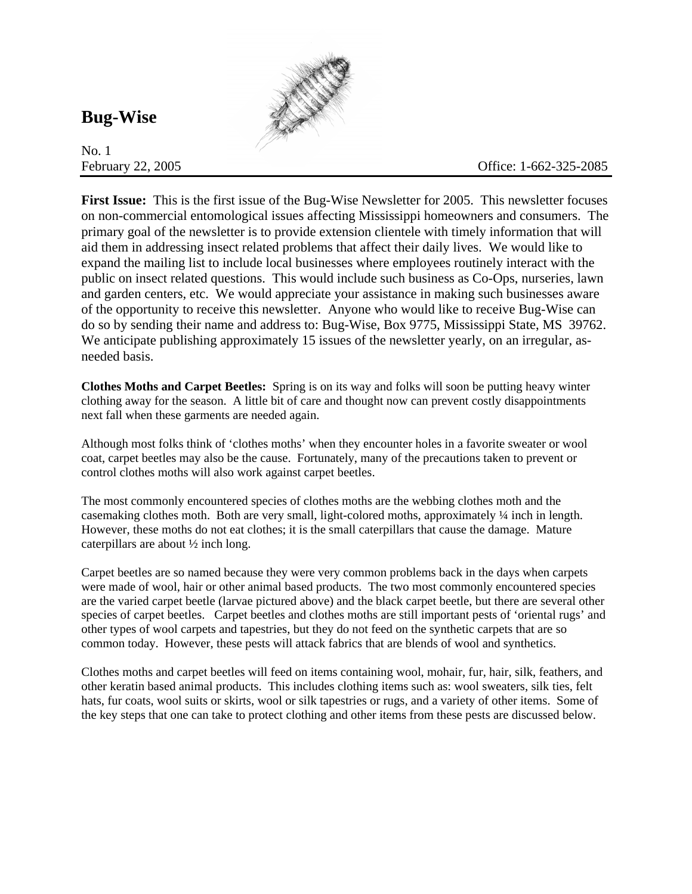## **Bug-Wise**

No. 1



**First Issue:** This is the first issue of the Bug-Wise Newsletter for 2005. This newsletter focuses on non-commercial entomological issues affecting Mississippi homeowners and consumers. The primary goal of the newsletter is to provide extension clientele with timely information that will aid them in addressing insect related problems that affect their daily lives. We would like to expand the mailing list to include local businesses where employees routinely interact with the public on insect related questions. This would include such business as Co-Ops, nurseries, lawn and garden centers, etc. We would appreciate your assistance in making such businesses aware of the opportunity to receive this newsletter. Anyone who would like to receive Bug-Wise can do so by sending their name and address to: Bug-Wise, Box 9775, Mississippi State, MS 39762. We anticipate publishing approximately 15 issues of the newsletter yearly, on an irregular, asneeded basis.

**Clothes Moths and Carpet Beetles:** Spring is on its way and folks will soon be putting heavy winter clothing away for the season. A little bit of care and thought now can prevent costly disappointments next fall when these garments are needed again.

Although most folks think of 'clothes moths' when they encounter holes in a favorite sweater or wool coat, carpet beetles may also be the cause. Fortunately, many of the precautions taken to prevent or control clothes moths will also work against carpet beetles.

The most commonly encountered species of clothes moths are the webbing clothes moth and the casemaking clothes moth. Both are very small, light-colored moths, approximately ¼ inch in length. However, these moths do not eat clothes; it is the small caterpillars that cause the damage. Mature caterpillars are about ½ inch long.

Carpet beetles are so named because they were very common problems back in the days when carpets were made of wool, hair or other animal based products. The two most commonly encountered species are the varied carpet beetle (larvae pictured above) and the black carpet beetle, but there are several other species of carpet beetles. Carpet beetles and clothes moths are still important pests of 'oriental rugs' and other types of wool carpets and tapestries, but they do not feed on the synthetic carpets that are so common today. However, these pests will attack fabrics that are blends of wool and synthetics.

Clothes moths and carpet beetles will feed on items containing wool, mohair, fur, hair, silk, feathers, and other keratin based animal products. This includes clothing items such as: wool sweaters, silk ties, felt hats, fur coats, wool suits or skirts, wool or silk tapestries or rugs, and a variety of other items. Some of the key steps that one can take to protect clothing and other items from these pests are discussed below.